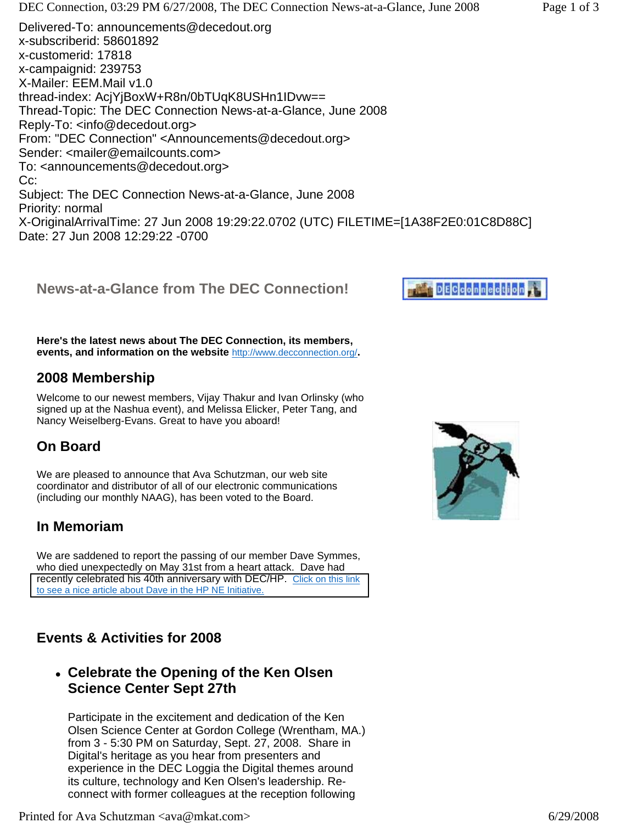**Here's the latest news about The DEC Connection, its members, events, and information on the website** <http://www.decconnection.org/>**.**

# **2008 Membership**

Welcome to our newest members, Vijay Thakur and Ivan Orlinsky (who signed up at the Nashua event), and Melissa Elicker, Peter Tang, and Nancy Weiselberg-Evans. Great to have you aboard!

## **On Board**

We are pleased to announce that Ava Schutzman, our web site coordinator and distributor of all of our electronic communications (including our monthly NAAG), has been voted to the Board.

## **In Memoriam**

We are saddened to report the passing of our member Dave Symmes, who died unexpectedly on May 31st from a heart attack. Dave had [recently celebrated his 40th anniversary with DEC/HP. Click on this link](http://www.decconnection.org/DaveSymmes.pdf)  to see a nice article about Dave in the HP NE Initiative.

## **Events & Activities for 2008**

<sup>z</sup> **Celebrate the Opening of the Ken Olsen Science Center Sept 27th**

Participate in the excitement and dedication of the Ken Olsen Science Center at Gordon College (Wrentham, MA.) from 3 - 5:30 PM on Saturday, Sept. 27, 2008. Share in Digital's heritage as you hear from presenters and experience in the DEC Loggia the Digital themes around its culture, technology and Ken Olsen's leadership. Reconnect with former colleagues at the reception following



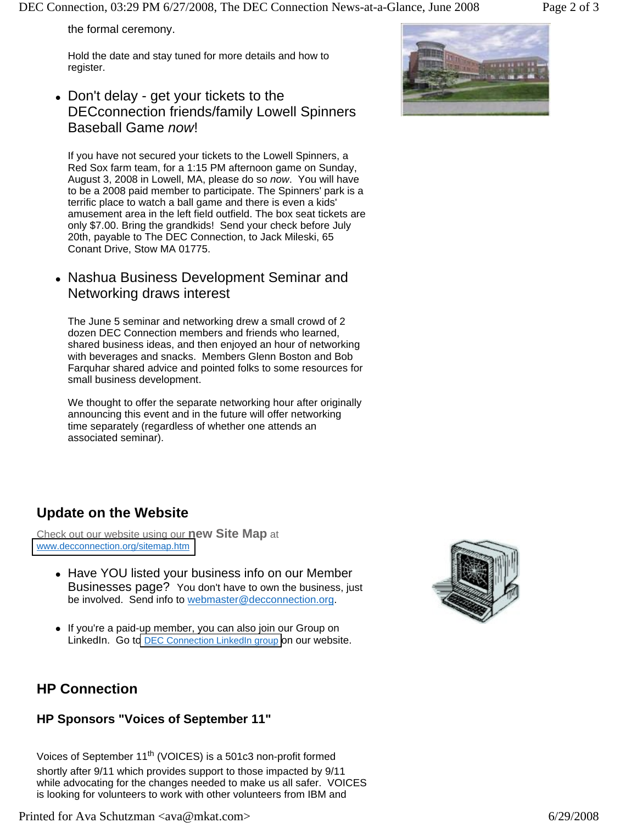DEC Connection, 03:29 PM 6/27/2008, The DEC Connection News-at-a-Glance, June 2008 Page 2 of 3

the formal ceremony.

Hold the date and stay tuned for more details and how to register.

• Don't delay - get your tickets to the DECconnection friends/family Lowell Spinners Baseball Game *now*!

If you have not secured your tickets to the Lowell Spinners, a Red Sox farm team, for a 1:15 PM afternoon game on Sunday, August 3, 2008 in Lowell, MA, please do so *now*. You will have to be a 2008 paid member to participate. The Spinners' park is a terrific place to watch a ball game and there is even a kids' amusement area in the left field outfield. The box seat tickets are only \$7.00. Bring the grandkids! Send your check before July 20th, payable to The DEC Connection, to Jack Mileski, 65 Conant Drive, Stow MA 01775.

• Nashua Business Development Seminar and Networking draws interest

The June 5 seminar and networking drew a small crowd of 2 dozen DEC Connection members and friends who learned, shared business ideas, and then enjoyed an hour of networking with beverages and snacks. Members Glenn Boston and Bob Farquhar shared advice and pointed folks to some resources for small business development.

We thought to offer the separate networking hour after originally announcing this event and in the future will offer networking time separately (regardless of whether one attends an associated seminar).

## **Update on the Website**

Check out our website using our **new Site Map** at [www.decconnection.org/sitemap.htm](http://www.decconnection.org/sitemap.htm)

- Have YOU listed your business info on our Member Businesses page? You don't have to own the business, just be involved. Send info to webmaster@decconnection.org.
- If you're a paid-up member, you can also join our Group on LinkedIn. Go to **DEC Connection LinkedIn group** on our website.



## **HP Connection**

#### **HP Sponsors "Voices of September 11"**

Voices of September 11<sup>th</sup> (VOICES) is a 501c3 non-profit formed shortly after 9/11 which provides support to those impacted by 9/11 while advocating for the changes needed to make us all safer. VOICES is looking for volunteers to work with other volunteers from IBM and